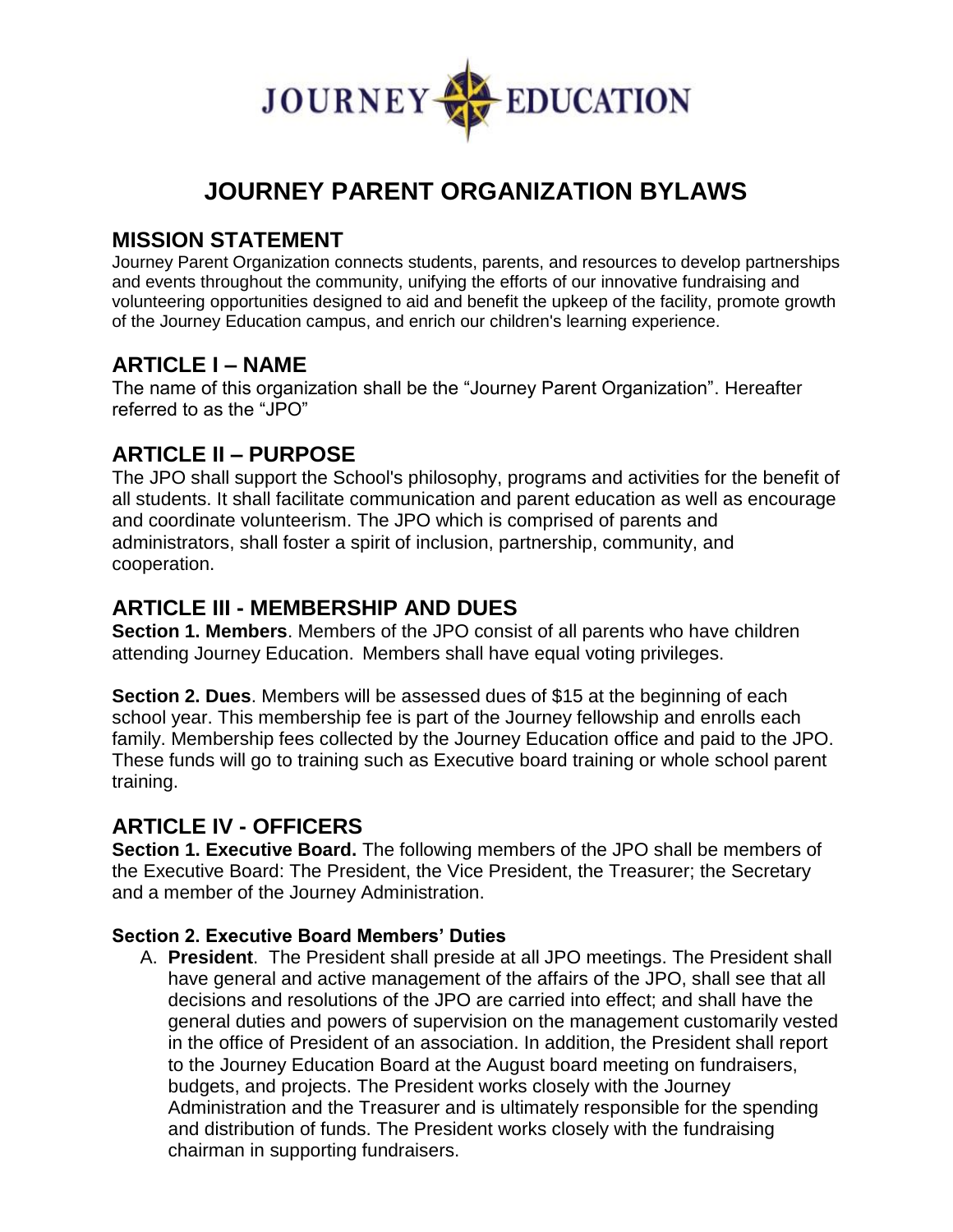

# **JOURNEY PARENT ORGANIZATION BYLAWS**

### **MISSION STATEMENT**

Journey Parent Organization connects students, parents, and resources to develop partnerships and events throughout the community, unifying the efforts of our innovative fundraising and volunteering opportunities designed to aid and benefit the upkeep of the facility, promote growth of the Journey Education campus, and enrich our children's learning experience.

### **ARTICLE I – NAME**

The name of this organization shall be the "Journey Parent Organization". Hereafter referred to as the "JPO"

# **ARTICLE II – PURPOSE**

The JPO shall support the School's philosophy, programs and activities for the benefit of all students. It shall facilitate communication and parent education as well as encourage and coordinate volunteerism. The JPO which is comprised of parents and administrators, shall foster a spirit of inclusion, partnership, community, and cooperation.

# **ARTICLE III - MEMBERSHIP AND DUES**

**Section 1. Members**. Members of the JPO consist of all parents who have children attending Journey Education. Members shall have equal voting privileges.

**Section 2. Dues**. Members will be assessed dues of \$15 at the beginning of each school year. This membership fee is part of the Journey fellowship and enrolls each family. Membership fees collected by the Journey Education office and paid to the JPO. These funds will go to training such as Executive board training or whole school parent training.

# **ARTICLE IV - OFFICERS**

**Section 1. Executive Board.** The following members of the JPO shall be members of the Executive Board: The President, the Vice President, the Treasurer; the Secretary and a member of the Journey Administration.

#### **Section 2. Executive Board Members' Duties**

A. **President**. The President shall preside at all JPO meetings. The President shall have general and active management of the affairs of the JPO, shall see that all decisions and resolutions of the JPO are carried into effect; and shall have the general duties and powers of supervision on the management customarily vested in the office of President of an association. In addition, the President shall report to the Journey Education Board at the August board meeting on fundraisers, budgets, and projects. The President works closely with the Journey Administration and the Treasurer and is ultimately responsible for the spending and distribution of funds. The President works closely with the fundraising chairman in supporting fundraisers.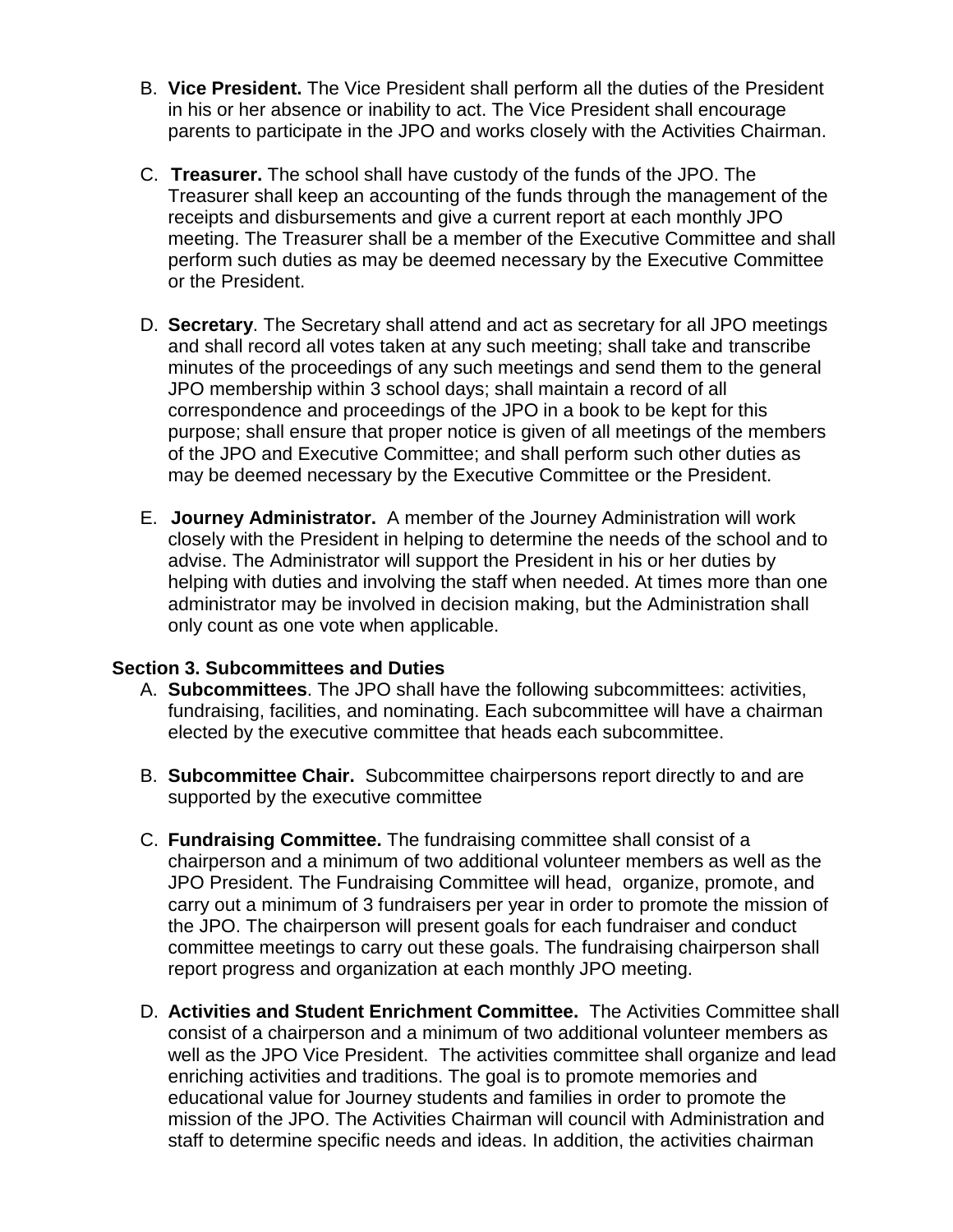- B. **Vice President.** The Vice President shall perform all the duties of the President in his or her absence or inability to act. The Vice President shall encourage parents to participate in the JPO and works closely with the Activities Chairman.
- C. **Treasurer.** The school shall have custody of the funds of the JPO. The Treasurer shall keep an accounting of the funds through the management of the receipts and disbursements and give a current report at each monthly JPO meeting. The Treasurer shall be a member of the Executive Committee and shall perform such duties as may be deemed necessary by the Executive Committee or the President.
- D. **Secretary**. The Secretary shall attend and act as secretary for all JPO meetings and shall record all votes taken at any such meeting; shall take and transcribe minutes of the proceedings of any such meetings and send them to the general JPO membership within 3 school days; shall maintain a record of all correspondence and proceedings of the JPO in a book to be kept for this purpose; shall ensure that proper notice is given of all meetings of the members of the JPO and Executive Committee; and shall perform such other duties as may be deemed necessary by the Executive Committee or the President.
- E. **Journey Administrator.** A member of the Journey Administration will work closely with the President in helping to determine the needs of the school and to advise. The Administrator will support the President in his or her duties by helping with duties and involving the staff when needed. At times more than one administrator may be involved in decision making, but the Administration shall only count as one vote when applicable.

#### **Section 3. Subcommittees and Duties**

- A. **Subcommittees**. The JPO shall have the following subcommittees: activities, fundraising, facilities, and nominating. Each subcommittee will have a chairman elected by the executive committee that heads each subcommittee.
- B. **Subcommittee Chair.** Subcommittee chairpersons report directly to and are supported by the executive committee
- C. **Fundraising Committee.** The fundraising committee shall consist of a chairperson and a minimum of two additional volunteer members as well as the JPO President. The Fundraising Committee will head, organize, promote, and carry out a minimum of 3 fundraisers per year in order to promote the mission of the JPO. The chairperson will present goals for each fundraiser and conduct committee meetings to carry out these goals. The fundraising chairperson shall report progress and organization at each monthly JPO meeting.
- D. **Activities and Student Enrichment Committee.** The Activities Committee shall consist of a chairperson and a minimum of two additional volunteer members as well as the JPO Vice President. The activities committee shall organize and lead enriching activities and traditions. The goal is to promote memories and educational value for Journey students and families in order to promote the mission of the JPO. The Activities Chairman will council with Administration and staff to determine specific needs and ideas. In addition, the activities chairman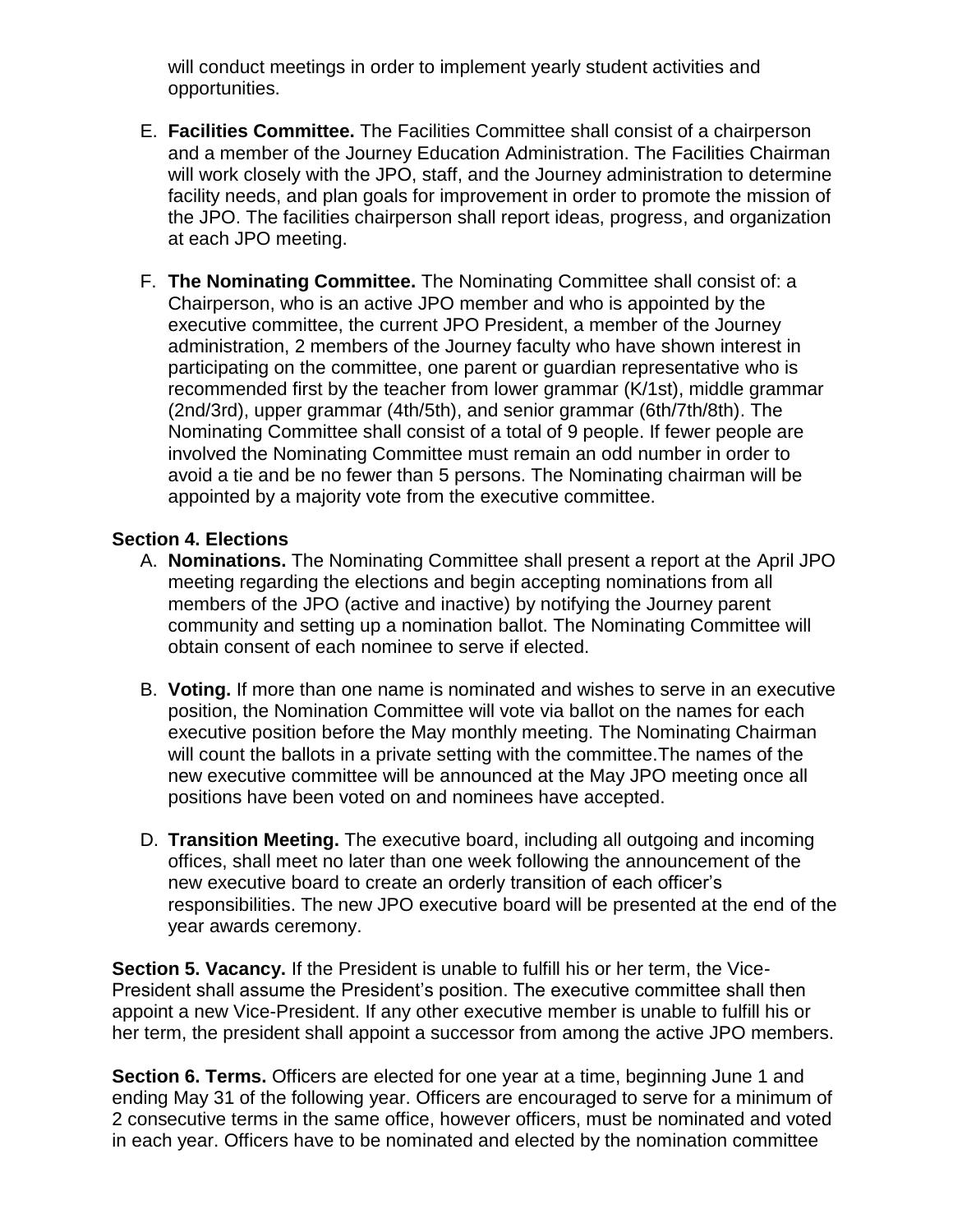will conduct meetings in order to implement yearly student activities and opportunities.

- E. **Facilities Committee.** The Facilities Committee shall consist of a chairperson and a member of the Journey Education Administration. The Facilities Chairman will work closely with the JPO, staff, and the Journey administration to determine facility needs, and plan goals for improvement in order to promote the mission of the JPO. The facilities chairperson shall report ideas, progress, and organization at each JPO meeting.
- F. **The Nominating Committee.** The Nominating Committee shall consist of: a Chairperson, who is an active JPO member and who is appointed by the executive committee, the current JPO President, a member of the Journey administration, 2 members of the Journey faculty who have shown interest in participating on the committee, one parent or guardian representative who is recommended first by the teacher from lower grammar (K/1st), middle grammar (2nd/3rd), upper grammar (4th/5th), and senior grammar (6th/7th/8th). The Nominating Committee shall consist of a total of 9 people. If fewer people are involved the Nominating Committee must remain an odd number in order to avoid a tie and be no fewer than 5 persons. The Nominating chairman will be appointed by a majority vote from the executive committee.

#### **Section 4. Elections**

- A. **Nominations.** The Nominating Committee shall present a report at the April JPO meeting regarding the elections and begin accepting nominations from all members of the JPO (active and inactive) by notifying the Journey parent community and setting up a nomination ballot. The Nominating Committee will obtain consent of each nominee to serve if elected.
- B. **Voting.** If more than one name is nominated and wishes to serve in an executive position, the Nomination Committee will vote via ballot on the names for each executive position before the May monthly meeting. The Nominating Chairman will count the ballots in a private setting with the committee.The names of the new executive committee will be announced at the May JPO meeting once all positions have been voted on and nominees have accepted.
- D. **Transition Meeting.** The executive board, including all outgoing and incoming offices, shall meet no later than one week following the announcement of the new executive board to create an orderly transition of each officer's responsibilities. The new JPO executive board will be presented at the end of the year awards ceremony.

**Section 5. Vacancy.** If the President is unable to fulfill his or her term, the Vice-President shall assume the President's position. The executive committee shall then appoint a new Vice-President. If any other executive member is unable to fulfill his or her term, the president shall appoint a successor from among the active JPO members.

**Section 6. Terms.** Officers are elected for one year at a time, beginning June 1 and ending May 31 of the following year. Officers are encouraged to serve for a minimum of 2 consecutive terms in the same office, however officers, must be nominated and voted in each year. Officers have to be nominated and elected by the nomination committee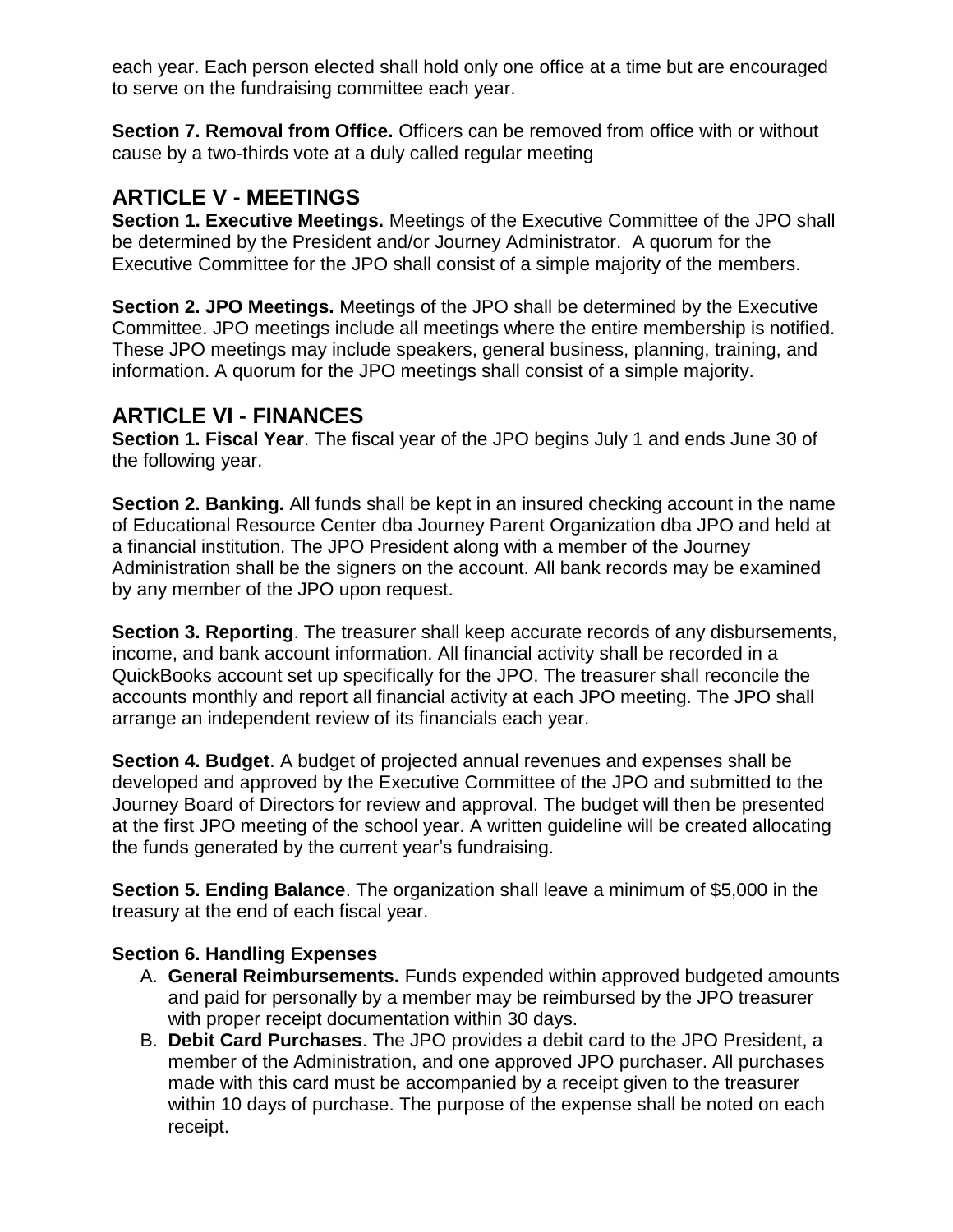each year. Each person elected shall hold only one office at a time but are encouraged to serve on the fundraising committee each year.

**Section 7. Removal from Office.** Officers can be removed from office with or without cause by a two-thirds vote at a duly called regular meeting

# **ARTICLE V - MEETINGS**

**Section 1. Executive Meetings.** Meetings of the Executive Committee of the JPO shall be determined by the President and/or Journey Administrator. A quorum for the Executive Committee for the JPO shall consist of a simple majority of the members.

**Section 2. JPO Meetings.** Meetings of the JPO shall be determined by the Executive Committee. JPO meetings include all meetings where the entire membership is notified. These JPO meetings may include speakers, general business, planning, training, and information. A quorum for the JPO meetings shall consist of a simple majority.

# **ARTICLE VI - FINANCES**

**Section 1. Fiscal Year**. The fiscal year of the JPO begins July 1 and ends June 30 of the following year.

**Section 2. Banking.** All funds shall be kept in an insured checking account in the name of Educational Resource Center dba Journey Parent Organization dba JPO and held at a financial institution. The JPO President along with a member of the Journey Administration shall be the signers on the account. All bank records may be examined by any member of the JPO upon request.

**Section 3. Reporting**. The treasurer shall keep accurate records of any disbursements, income, and bank account information. All financial activity shall be recorded in a QuickBooks account set up specifically for the JPO. The treasurer shall reconcile the accounts monthly and report all financial activity at each JPO meeting. The JPO shall arrange an independent review of its financials each year.

**Section 4. Budget**. A budget of projected annual revenues and expenses shall be developed and approved by the Executive Committee of the JPO and submitted to the Journey Board of Directors for review and approval. The budget will then be presented at the first JPO meeting of the school year. A written guideline will be created allocating the funds generated by the current year's fundraising.

**Section 5. Ending Balance**. The organization shall leave a minimum of \$5,000 in the treasury at the end of each fiscal year.

### **Section 6. Handling Expenses**

- A. **General Reimbursements.** Funds expended within approved budgeted amounts and paid for personally by a member may be reimbursed by the JPO treasurer with proper receipt documentation within 30 days.
- B. **Debit Card Purchases**. The JPO provides a debit card to the JPO President, a member of the Administration, and one approved JPO purchaser. All purchases made with this card must be accompanied by a receipt given to the treasurer within 10 days of purchase. The purpose of the expense shall be noted on each receipt.